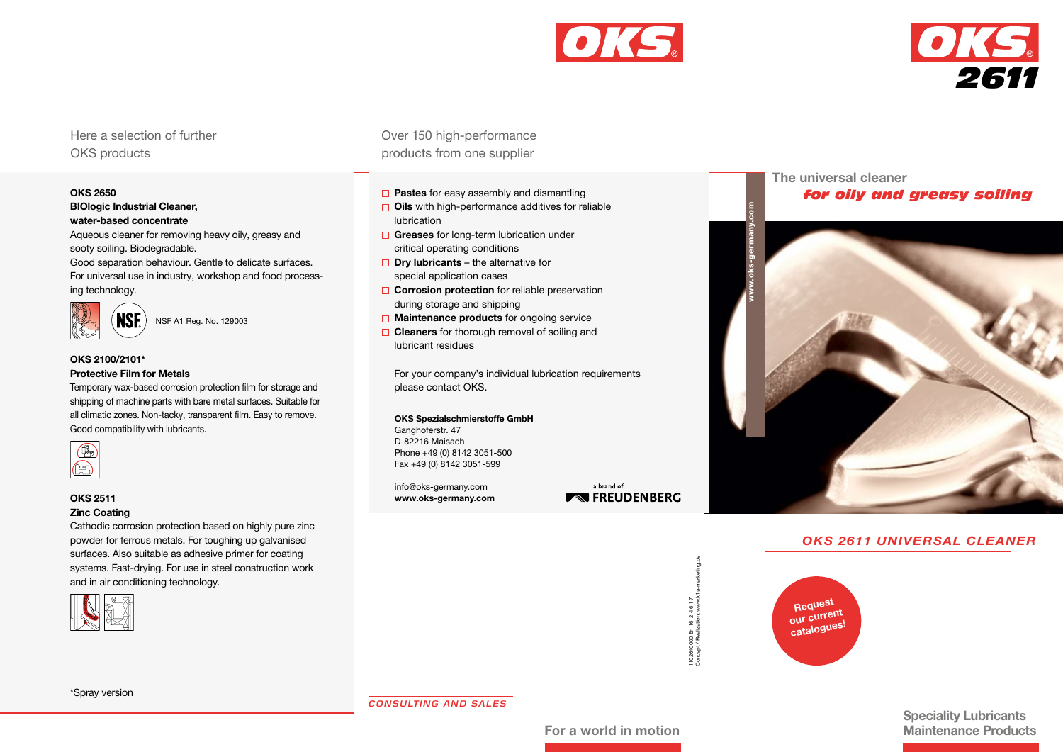



Here a selection of further OKS products

### OKS 2650 BIOlogic Industrial Cleaner, water-based concentrate

Aqueous cleaner for removing heavy oily, greasy and sooty soiling. Biodegradable.

Good separation behaviour. Gentle to delicate surfaces. For universal use in industry, workshop and food processing technology.



NSF A1 Reg. No. 129003

## OKS 2100/2101\* Protective Film for Metals

Temporary wax-based corrosion protection film for storage and shipping of machine parts with bare metal surfaces. Suitable for all climatic zones. Non-tacky, transparent film. Easy to remove. Good compatibility with lubricants.



# OKS 2511

## Zinc Coating

Cathodic corrosion protection based on highly pure zinc powder for ferrous metals. For toughing up galvanised surfaces. Also suitable as adhesive primer for coating systems. Fast-drying. For use in steel construction work and in air conditioning technology.



Over 150 high-performance products from one supplier

- $\Box$  Pastes for easy assembly and dismantling
- $\Box$  Oils with high-performance additives for reliable lubrication
- Greases for long-term lubrication under critical operating conditions
- $\Box$  Dry lubricants the alternative for special application cases
- $\Box$  Corrosion protection for reliable preservation during storage and shipping
- $\Box$  Maintenance products for ongoing service
- $\Box$  Cleaners for thorough removal of soiling and lubricant residues

For your company's individual lubrication requirements please contact OKS.

### OKS Spezialschmierstoffe GmbH

Ganghoferstr. 47 D-82216 Maisach Phone +49 (0) 8142 3051-500 Fax +49 (0) 8142 3051-599

info@oks-germany.com www.oks-germany.com

a brand of **NO FREUDENBERG** 

> 1102640000 En 1612 4 6 1 7 Concept / Realization: www.k1a-marketing.de

1102640000 En 16124 617<br>Concept / Realization: www.k<sup>-</sup>





# *OKS 2611 UNIVERSAL CLEANER*



\*Spray version



# For a world in motion **Maintenance Products**

Speciality Lubricants